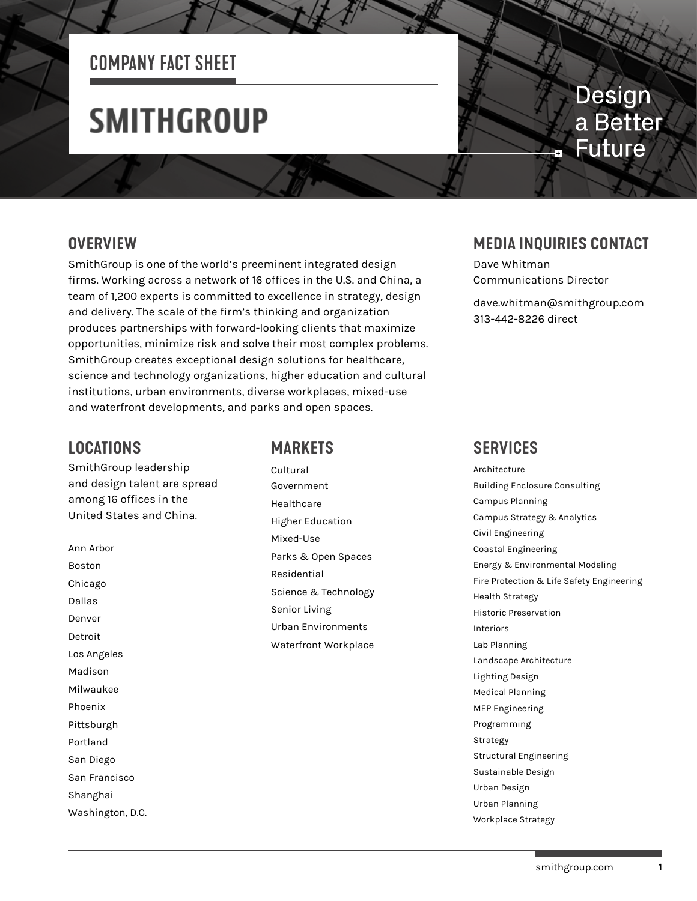## COMPANY FACT SHEET

# **SMITHGROUP**

## **Design** a Better **Future**

### **OVERVIEW**

SmithGroup is one of the world's preeminent integrated design firms. Working across a network of 16 offices in the U.S. and China, a team of 1,200 experts is committed to excellence in strategy, design and delivery. The scale of the firm's thinking and organization produces partnerships with forward-looking clients that maximize opportunities, minimize risk and solve their most complex problems. SmithGroup creates exceptional design solutions for healthcare, science and technology organizations, higher education and cultural institutions, urban environments, diverse workplaces, mixed-use and waterfront developments, and parks and open spaces.

### **LOCATIONS**

SmithGroup leadership and design talent are spread among 16 offices in the United States and China.

Ann Arbor Boston Chicago Dallas Denver Detroit Los Angeles Madison Milwaukee Phoenix Pittsburgh Portland San Diego San Francisco Shanghai Washington, D.C.

### **MARKETS**

Cultural Government Healthcare Higher Education Mixed-Use Parks & Open Spaces Residential Science & Technology Senior Living Urban Environments Waterfront Workplace

### **MEDIA INQUIRIES CONTACT**

Dave Whitman Communications Director

dave.whitman@smithgroup.com 313-442-8226 direct

### **SERVICES**

Architecture Building Enclosure Consulting Campus Planning Campus Strategy & Analytics Civil Engineering Coastal Engineering Energy & Environmental Modeling Fire Protection & Life Safety Engineering Health Strategy Historic Preservation Interiors Lab Planning Landscape Architecture Lighting Design Medical Planning MEP Engineering Programming Strategy Structural Engineering Sustainable Design Urban Design Urban Planning Workplace Strategy